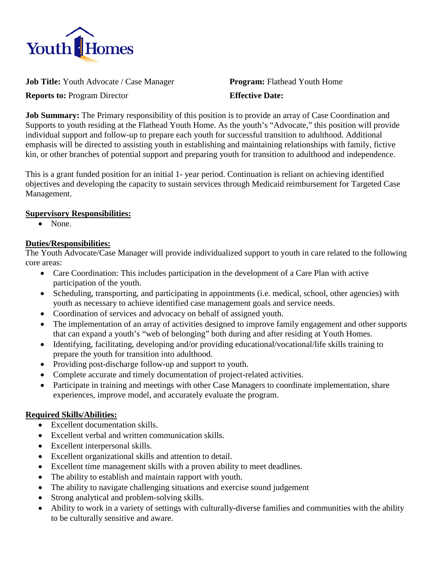

**Job Title:** Youth Advocate / Case Manager **Program:** Flathead Youth Home

**Reports to:** Program Director **Effective Date:**

**Job Summary:** The Primary responsibility of this position is to provide an array of Case Coordination and Supports to youth residing at the Flathead Youth Home. As the youth's "Advocate," this position will provide individual support and follow-up to prepare each youth for successful transition to adulthood. Additional emphasis will be directed to assisting youth in establishing and maintaining relationships with family, fictive kin, or other branches of potential support and preparing youth for transition to adulthood and independence.

This is a grant funded position for an initial 1- year period. Continuation is reliant on achieving identified objectives and developing the capacity to sustain services through Medicaid reimbursement for Targeted Case Management.

# **Supervisory Responsibilities:**

• None.

# **Duties/Responsibilities:**

The Youth Advocate/Case Manager will provide individualized support to youth in care related to the following core areas:

- Care Coordination: This includes participation in the development of a Care Plan with active participation of the youth.
- Scheduling, transporting, and participating in appointments (i.e. medical, school, other agencies) with youth as necessary to achieve identified case management goals and service needs.
- Coordination of services and advocacy on behalf of assigned youth.
- The implementation of an array of activities designed to improve family engagement and other supports that can expand a youth's "web of belonging" both during and after residing at Youth Homes.
- Identifying, facilitating, developing and/or providing educational/vocational/life skills training to prepare the youth for transition into adulthood.
- Providing post-discharge follow-up and support to youth.
- Complete accurate and timely documentation of project-related activities.
- Participate in training and meetings with other Case Managers to coordinate implementation, share experiences, improve model, and accurately evaluate the program.

# **Required Skills/Abilities:**

- Excellent documentation skills.
- Excellent verbal and written communication skills.
- Excellent interpersonal skills.
- Excellent organizational skills and attention to detail.
- Excellent time management skills with a proven ability to meet deadlines.
- The ability to establish and maintain rapport with youth.
- The ability to navigate challenging situations and exercise sound judgement
- Strong analytical and problem-solving skills.
- Ability to work in a variety of settings with culturally-diverse families and communities with the ability to be culturally sensitive and aware.